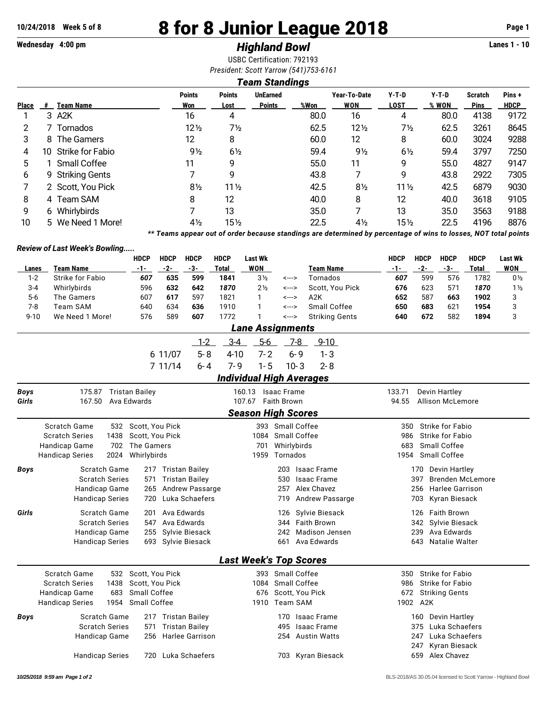# **10/24/2018 Week 5 of 8 8 for 8 Junior League 2018 Page 1**

## **Wednesday 4:00 pm** *Highland Bowl* **Lanes 1 - 10**

USBC Certification: 792193 *President: Scott Yarrow (541)753-6161*

#### *Team Standings*

| <b>Place</b> | #  | Team Name         | <b>Points</b><br>Won | <b>Points</b><br>Lost | <b>UnEarned</b><br><b>Points</b> | %Won | Year-To-Date<br>WON | $Y-T-D$<br><b>LOST</b> | $Y-T-D$<br>% WON | <b>Scratch</b><br><b>Pins</b> | Pins+<br><b>HDCP</b> |
|--------------|----|-------------------|----------------------|-----------------------|----------------------------------|------|---------------------|------------------------|------------------|-------------------------------|----------------------|
|              |    | 3 A2K             | 16                   | 4                     |                                  | 80.0 | 16                  | 4                      | 80.0             | 4138                          | 9172                 |
| 2            |    | Tornados          | $12\frac{1}{2}$      | 7½                    |                                  | 62.5 | $12\frac{1}{2}$     | 7½                     | 62.5             | 3261                          | 8645                 |
| 3            |    | 8 The Gamers      | 12                   | 8                     |                                  | 60.0 | 12                  | 8                      | 60.0             | 3024                          | 9288                 |
| 4            | 10 | Strike for Fabio  | $9\frac{1}{2}$       | $6\frac{1}{2}$        |                                  | 59.4 | $9\frac{1}{2}$      | $6\frac{1}{2}$         | 59.4             | 3797                          | 7250                 |
| 5            |    | 1 Small Coffee    | 11                   | 9                     |                                  | 55.0 | 11                  | 9                      | 55.0             | 4827                          | 9147                 |
| 6            |    | 9 Striking Gents  |                      | 9                     |                                  | 43.8 |                     | 9                      | 43.8             | 2922                          | 7305                 |
|              |    | 2 Scott, You Pick | $8\frac{1}{2}$       | $11\frac{1}{2}$       |                                  | 42.5 | $8\frac{1}{2}$      | $11\frac{1}{2}$        | 42.5             | 6879                          | 9030                 |
| 8            |    | 4 Team SAM        | 8                    | 12                    |                                  | 40.0 | 8                   | 12                     | 40.0             | 3618                          | 9105                 |
| 9            |    | 6 Whirlybirds     |                      | 13                    |                                  | 35.0 | 7                   | 13                     | 35.0             | 3563                          | 9188                 |
| 10           |    | 5 We Need 1 More! | 4½                   | $15\frac{1}{2}$       |                                  | 22.5 | $4\frac{1}{2}$      | $15\frac{1}{2}$        | 22.5             | 4196                          | 8876                 |

*\*\* Teams appear out of order because standings are determined by percentage of wins to losses, NOT total points*

#### *Review of Last Week's Bowling.....*

|             |                                | <b>HDCP</b>                          | <b>HDCP</b> | <b>HDCP</b>           | <b>HDCP</b>  | <b>Last Wk</b>                  |                    |          |                       | <b>HDCP</b>     | <b>HDCP</b> | <b>HDCP</b>                              | HDCP                    | <b>Last Wk</b> |
|-------------|--------------------------------|--------------------------------------|-------------|-----------------------|--------------|---------------------------------|--------------------|----------|-----------------------|-----------------|-------------|------------------------------------------|-------------------------|----------------|
| Lanes       | <b>Team Name</b>               | $-1-$                                | $-2-$       | $-3-$                 | <b>Total</b> | WON                             |                    |          | <b>Team Name</b>      | $-1-$           | $-2-$       | $-3-$                                    | Total                   | <b>WON</b>     |
| $1 - 2$     | <b>Strike for Fabio</b>        | 607                                  | 635         | 599                   | 1841         | 3 <sub>2</sub>                  | <--->              |          | Tornados              | 607             | 599         | 576                                      | 1782                    | $0\frac{1}{2}$ |
| $3 - 4$     | Whirlybirds                    | 596                                  | 632         | 642                   | 1870         | 2 <sub>2</sub>                  | <--->              |          | Scott, You Pick       | 676             | 623         | 571                                      | 1870                    | $1\frac{1}{2}$ |
| $5-6$       | The Gamers                     | 607                                  | 617         | 597                   | 1821         | 1                               | <--->              |          | A2K                   | 652             | 587         | 663                                      | 1902                    | 3              |
| $7 - 8$     | <b>Team SAM</b>                | 640                                  | 634         | 636                   | 1910         | 1                               | <--->              |          | Small Coffee          | 650             | 683         | 621                                      | 1954                    | 3              |
| $9 - 10$    | We Need 1 More!                | 576                                  | 589         | 607                   | 1772         | 1                               | <--->              |          | <b>Striking Gents</b> | 640             | 672         | 582                                      | 1894                    | 3              |
|             |                                |                                      |             |                       |              | <b>Lane Assignments</b>         |                    |          |                       |                 |             |                                          |                         |                |
|             |                                |                                      |             | $1 - 2$               | $3 - 4$      | $5-6$                           |                    | $7 - 8$  | $9 - 10$              |                 |             |                                          |                         |                |
|             |                                |                                      | 6 11/07     | $5 - 8$               | $4 - 10$     | $7 - 2$                         |                    | $6 - 9$  | $1 - 3$               |                 |             |                                          |                         |                |
|             |                                |                                      | 7 11/14     | $6 - 4$               | $7 - 9$      | $1 - 5$                         |                    | $10 - 3$ | $2 - 8$               |                 |             |                                          |                         |                |
|             |                                |                                      |             |                       |              | <b>Individual High Averages</b> |                    |          |                       |                 |             |                                          |                         |                |
|             |                                |                                      |             |                       |              |                                 |                    |          |                       |                 |             |                                          |                         |                |
| <b>Boys</b> | 175.87<br>167.50               | <b>Tristan Bailey</b><br>Ava Edwards |             |                       |              | 160.13 Isaac Frame<br>107.67    | <b>Faith Brown</b> |          |                       | 133.71<br>94.55 |             | Devin Hartley<br><b>Allison McLemore</b> |                         |                |
| Girls       |                                |                                      |             |                       |              |                                 |                    |          |                       |                 |             |                                          |                         |                |
|             |                                |                                      |             |                       |              | <b>Season High Scores</b>       |                    |          |                       |                 |             |                                          |                         |                |
|             | Scratch Game<br>532            | Scott, You Pick                      |             |                       |              |                                 | 393 Small Coffee   |          |                       | 350             |             | Strike for Fabio                         |                         |                |
|             | 1438<br><b>Scratch Series</b>  | Scott, You Pick                      |             |                       |              | 1084                            | Small Coffee       |          |                       | 986             |             | Strike for Fabio                         |                         |                |
|             | Handicap Game<br>702           | The Gamers                           |             |                       |              | 701                             | Whirlybirds        |          |                       | 683             |             | Small Coffee                             |                         |                |
|             | <b>Handicap Series</b><br>2024 | Whirlybirds                          |             |                       |              | 1959                            | Tornados           |          |                       | 1954            |             | Small Coffee                             |                         |                |
| Boys        | Scratch Game                   |                                      |             | 217 Tristan Bailey    |              |                                 | 203                |          | <b>Isaac Frame</b>    |                 | 170         | Devin Hartley                            |                         |                |
|             | <b>Scratch Series</b>          | 571                                  |             | <b>Tristan Bailey</b> |              |                                 | 530                |          | <b>Isaac Frame</b>    |                 | 397         |                                          | <b>Brenden McLemore</b> |                |
|             | Handicap Game                  | 265                                  |             | Andrew Passarge       |              |                                 | 257                |          | Alex Chavez           |                 | 256         | Harlee Garrison                          |                         |                |
|             | <b>Handicap Series</b>         | 720                                  |             | Luka Schaefers        |              |                                 | 719                |          | Andrew Passarge       |                 | 703         | Kyran Biesack                            |                         |                |
| Girls       | Scratch Game                   | 201                                  |             | Ava Edwards           |              |                                 | 126                |          | Sylvie Biesack        |                 | 126         | <b>Faith Brown</b>                       |                         |                |
|             | <b>Scratch Series</b>          | 547                                  |             | Ava Edwards           |              |                                 | 344                |          | <b>Faith Brown</b>    |                 | 342         | Sylvie Biesack                           |                         |                |
|             | Handicap Game                  | 255                                  |             | Sylvie Biesack        |              |                                 | 242                |          | <b>Madison Jensen</b> |                 | 239         | Ava Edwards                              |                         |                |
|             | <b>Handicap Series</b>         |                                      |             | 693 Sylvie Biesack    |              |                                 | 661                |          | Ava Edwards           |                 | 643         | Natalie Walter                           |                         |                |
|             |                                |                                      |             |                       |              | <b>Last Week's Top Scores</b>   |                    |          |                       |                 |             |                                          |                         |                |
|             | Scratch Game<br>532            | Scott, You Pick                      |             |                       |              |                                 | 393 Small Coffee   |          |                       | 350             |             | Strike for Fabio                         |                         |                |
|             | <b>Scratch Series</b><br>1438  | Scott, You Pick                      |             |                       |              | 1084                            | Small Coffee       |          |                       | 986             |             | Strike for Fabio                         |                         |                |
|             | 683<br><b>Handicap Game</b>    | Small Coffee                         |             |                       |              | 676                             | Scott, You Pick    |          |                       | 672             |             | <b>Striking Gents</b>                    |                         |                |
|             | 1954<br><b>Handicap Series</b> | Small Coffee                         |             |                       |              |                                 | 1910 Team SAM      |          |                       |                 | 1902 A2K    |                                          |                         |                |
| Boys        | <b>Scratch Game</b>            |                                      |             | 217 Tristan Bailey    |              |                                 | 170                |          | <b>Isaac Frame</b>    |                 | 160         | Devin Hartley                            |                         |                |
|             | <b>Scratch Series</b>          | 571                                  |             | <b>Tristan Bailey</b> |              |                                 | 495                |          | <b>Isaac Frame</b>    |                 | 375         | Luka Schaefers                           |                         |                |
|             | Handicap Game                  | 256                                  |             | Harlee Garrison       |              |                                 | 254                |          | <b>Austin Watts</b>   |                 | 247         | Luka Schaefers                           |                         |                |
|             |                                |                                      |             |                       |              |                                 |                    |          |                       |                 | 247         | Kyran Biesack                            |                         |                |
|             | <b>Handicap Series</b>         | 720                                  |             | Luka Schaefers        |              |                                 |                    |          | 703 Kyran Biesack     |                 | 659         | Alex Chavez                              |                         |                |
|             |                                |                                      |             |                       |              |                                 |                    |          |                       |                 |             |                                          |                         |                |